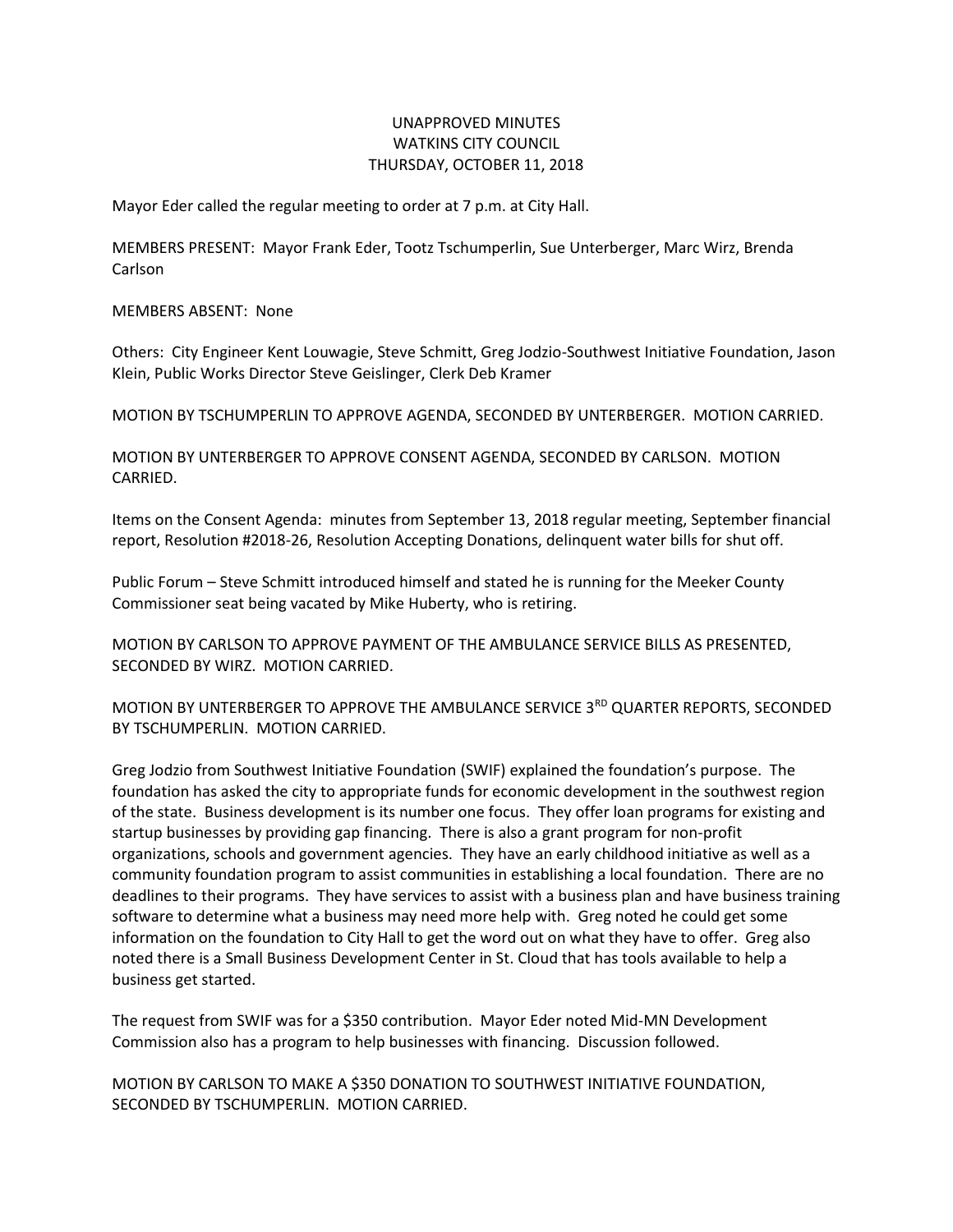## UNAPPROVED MINUTES WATKINS CITY COUNCIL THURSDAY, OCTOBER 11, 2018

Mayor Eder called the regular meeting to order at 7 p.m. at City Hall.

MEMBERS PRESENT: Mayor Frank Eder, Tootz Tschumperlin, Sue Unterberger, Marc Wirz, Brenda Carlson

MEMBERS ABSENT: None

Others: City Engineer Kent Louwagie, Steve Schmitt, Greg Jodzio-Southwest Initiative Foundation, Jason Klein, Public Works Director Steve Geislinger, Clerk Deb Kramer

MOTION BY TSCHUMPERLIN TO APPROVE AGENDA, SECONDED BY UNTERBERGER. MOTION CARRIED.

MOTION BY UNTERBERGER TO APPROVE CONSENT AGENDA, SECONDED BY CARLSON. MOTION CARRIED.

Items on the Consent Agenda: minutes from September 13, 2018 regular meeting, September financial report, Resolution #2018-26, Resolution Accepting Donations, delinquent water bills for shut off.

Public Forum – Steve Schmitt introduced himself and stated he is running for the Meeker County Commissioner seat being vacated by Mike Huberty, who is retiring.

MOTION BY CARLSON TO APPROVE PAYMENT OF THE AMBULANCE SERVICE BILLS AS PRESENTED, SECONDED BY WIRZ. MOTION CARRIED.

MOTION BY UNTERBERGER TO APPROVE THE AMBULANCE SERVICE 3<sup>RD</sup> QUARTER REPORTS, SECONDED BY TSCHUMPERLIN. MOTION CARRIED.

Greg Jodzio from Southwest Initiative Foundation (SWIF) explained the foundation's purpose. The foundation has asked the city to appropriate funds for economic development in the southwest region of the state. Business development is its number one focus. They offer loan programs for existing and startup businesses by providing gap financing. There is also a grant program for non-profit organizations, schools and government agencies. They have an early childhood initiative as well as a community foundation program to assist communities in establishing a local foundation. There are no deadlines to their programs. They have services to assist with a business plan and have business training software to determine what a business may need more help with. Greg noted he could get some information on the foundation to City Hall to get the word out on what they have to offer. Greg also noted there is a Small Business Development Center in St. Cloud that has tools available to help a business get started.

The request from SWIF was for a \$350 contribution. Mayor Eder noted Mid-MN Development Commission also has a program to help businesses with financing. Discussion followed.

MOTION BY CARLSON TO MAKE A \$350 DONATION TO SOUTHWEST INITIATIVE FOUNDATION, SECONDED BY TSCHUMPERLIN. MOTION CARRIED.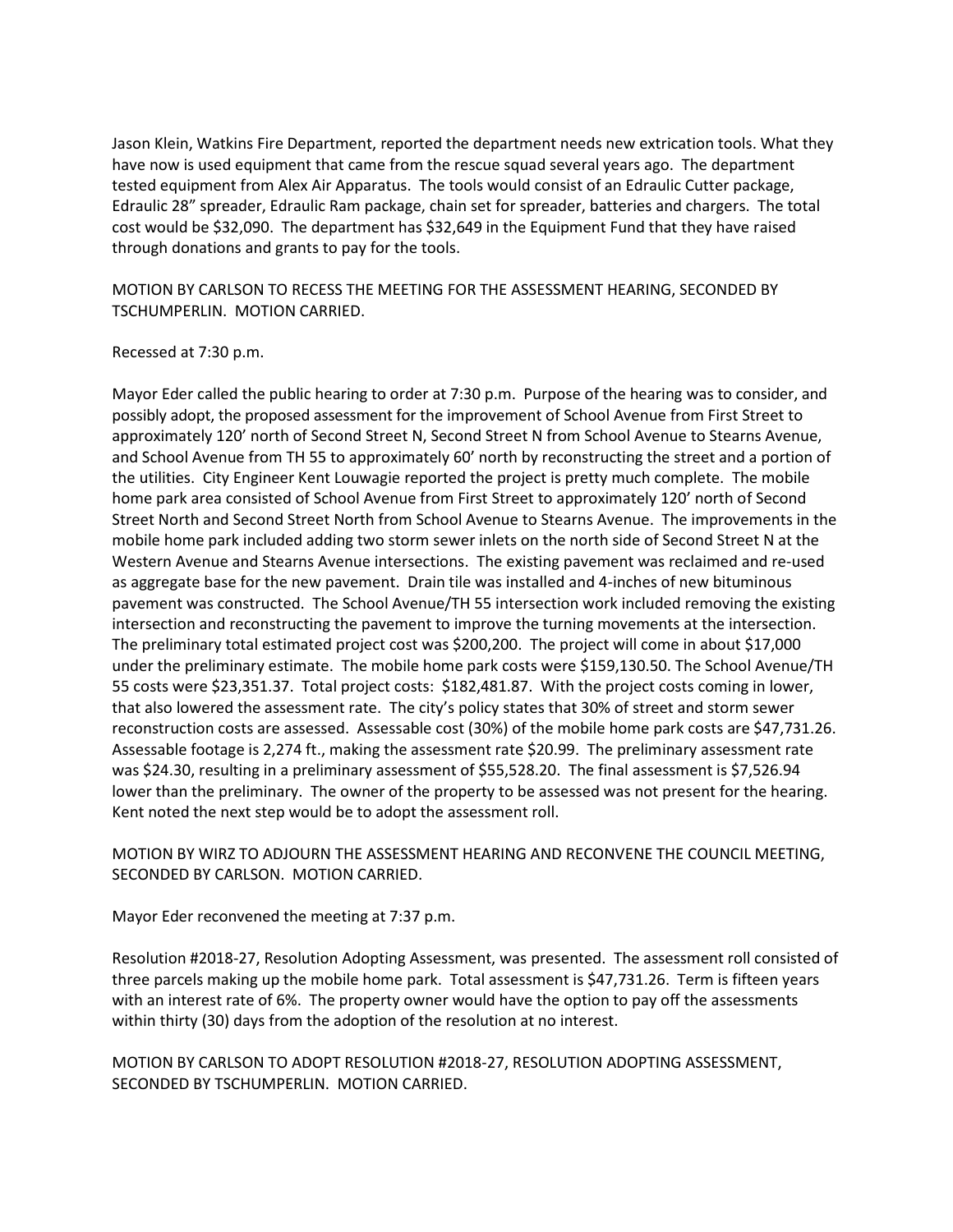Jason Klein, Watkins Fire Department, reported the department needs new extrication tools. What they have now is used equipment that came from the rescue squad several years ago. The department tested equipment from Alex Air Apparatus. The tools would consist of an Edraulic Cutter package, Edraulic 28" spreader, Edraulic Ram package, chain set for spreader, batteries and chargers. The total cost would be \$32,090. The department has \$32,649 in the Equipment Fund that they have raised through donations and grants to pay for the tools.

MOTION BY CARLSON TO RECESS THE MEETING FOR THE ASSESSMENT HEARING, SECONDED BY TSCHUMPERLIN. MOTION CARRIED.

## Recessed at 7:30 p.m.

Mayor Eder called the public hearing to order at 7:30 p.m. Purpose of the hearing was to consider, and possibly adopt, the proposed assessment for the improvement of School Avenue from First Street to approximately 120' north of Second Street N, Second Street N from School Avenue to Stearns Avenue, and School Avenue from TH 55 to approximately 60' north by reconstructing the street and a portion of the utilities. City Engineer Kent Louwagie reported the project is pretty much complete. The mobile home park area consisted of School Avenue from First Street to approximately 120' north of Second Street North and Second Street North from School Avenue to Stearns Avenue. The improvements in the mobile home park included adding two storm sewer inlets on the north side of Second Street N at the Western Avenue and Stearns Avenue intersections. The existing pavement was reclaimed and re-used as aggregate base for the new pavement. Drain tile was installed and 4-inches of new bituminous pavement was constructed. The School Avenue/TH 55 intersection work included removing the existing intersection and reconstructing the pavement to improve the turning movements at the intersection. The preliminary total estimated project cost was \$200,200. The project will come in about \$17,000 under the preliminary estimate. The mobile home park costs were \$159,130.50. The School Avenue/TH 55 costs were \$23,351.37. Total project costs: \$182,481.87. With the project costs coming in lower, that also lowered the assessment rate. The city's policy states that 30% of street and storm sewer reconstruction costs are assessed. Assessable cost (30%) of the mobile home park costs are \$47,731.26. Assessable footage is 2,274 ft., making the assessment rate \$20.99. The preliminary assessment rate was \$24.30, resulting in a preliminary assessment of \$55,528.20. The final assessment is \$7,526.94 lower than the preliminary. The owner of the property to be assessed was not present for the hearing. Kent noted the next step would be to adopt the assessment roll.

## MOTION BY WIRZ TO ADJOURN THE ASSESSMENT HEARING AND RECONVENE THE COUNCIL MEETING, SECONDED BY CARLSON. MOTION CARRIED.

Mayor Eder reconvened the meeting at 7:37 p.m.

Resolution #2018-27, Resolution Adopting Assessment, was presented. The assessment roll consisted of three parcels making up the mobile home park. Total assessment is \$47,731.26. Term is fifteen years with an interest rate of 6%. The property owner would have the option to pay off the assessments within thirty (30) days from the adoption of the resolution at no interest.

MOTION BY CARLSON TO ADOPT RESOLUTION #2018-27, RESOLUTION ADOPTING ASSESSMENT, SECONDED BY TSCHUMPERLIN. MOTION CARRIED.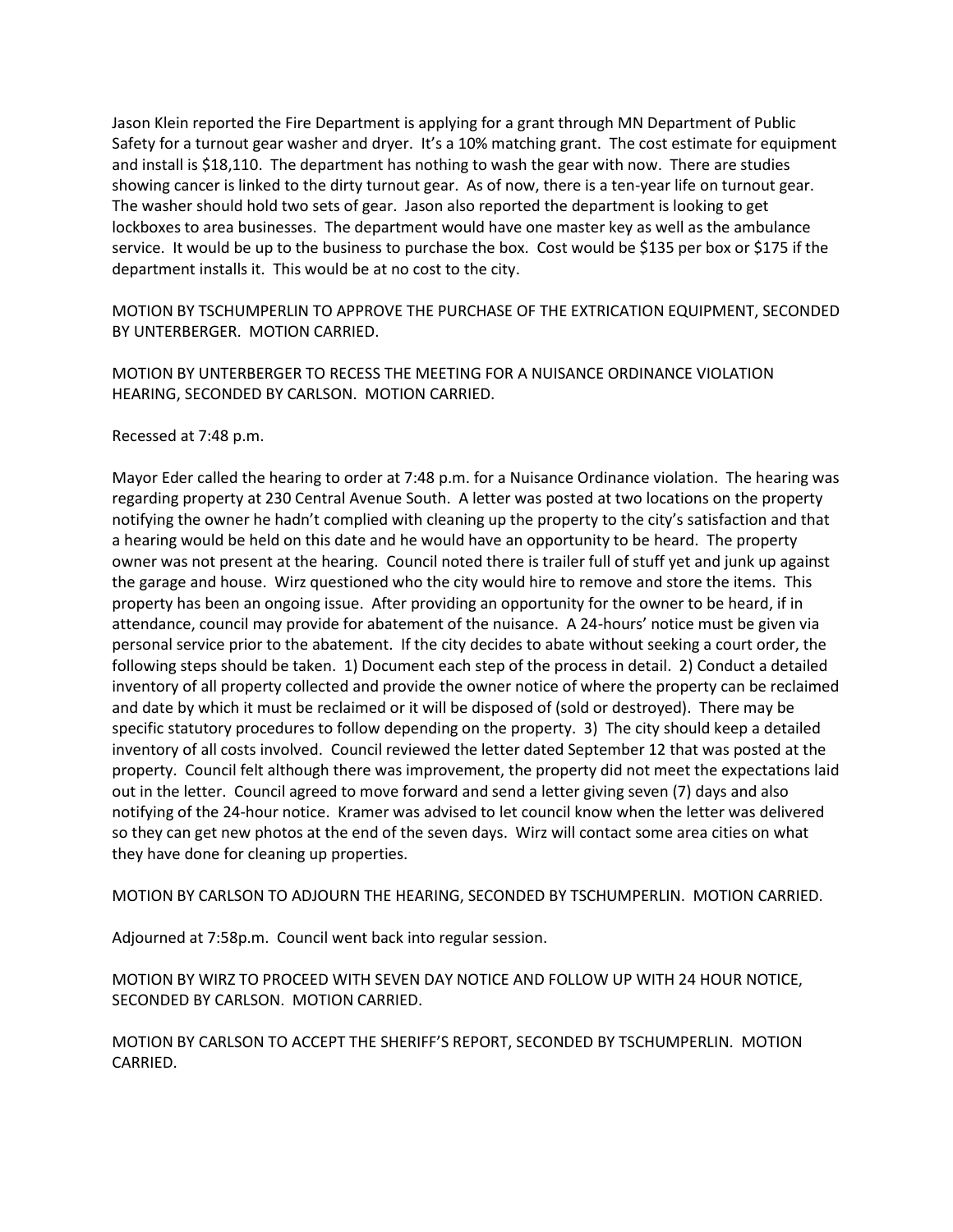Jason Klein reported the Fire Department is applying for a grant through MN Department of Public Safety for a turnout gear washer and dryer. It's a 10% matching grant. The cost estimate for equipment and install is \$18,110. The department has nothing to wash the gear with now. There are studies showing cancer is linked to the dirty turnout gear. As of now, there is a ten-year life on turnout gear. The washer should hold two sets of gear. Jason also reported the department is looking to get lockboxes to area businesses. The department would have one master key as well as the ambulance service. It would be up to the business to purchase the box. Cost would be \$135 per box or \$175 if the department installs it. This would be at no cost to the city.

MOTION BY TSCHUMPERLIN TO APPROVE THE PURCHASE OF THE EXTRICATION EQUIPMENT, SECONDED BY UNTERBERGER. MOTION CARRIED.

MOTION BY UNTERBERGER TO RECESS THE MEETING FOR A NUISANCE ORDINANCE VIOLATION HEARING, SECONDED BY CARLSON. MOTION CARRIED.

Recessed at 7:48 p.m.

Mayor Eder called the hearing to order at 7:48 p.m. for a Nuisance Ordinance violation. The hearing was regarding property at 230 Central Avenue South. A letter was posted at two locations on the property notifying the owner he hadn't complied with cleaning up the property to the city's satisfaction and that a hearing would be held on this date and he would have an opportunity to be heard. The property owner was not present at the hearing. Council noted there is trailer full of stuff yet and junk up against the garage and house. Wirz questioned who the city would hire to remove and store the items. This property has been an ongoing issue. After providing an opportunity for the owner to be heard, if in attendance, council may provide for abatement of the nuisance. A 24-hours' notice must be given via personal service prior to the abatement. If the city decides to abate without seeking a court order, the following steps should be taken. 1) Document each step of the process in detail. 2) Conduct a detailed inventory of all property collected and provide the owner notice of where the property can be reclaimed and date by which it must be reclaimed or it will be disposed of (sold or destroyed). There may be specific statutory procedures to follow depending on the property. 3) The city should keep a detailed inventory of all costs involved. Council reviewed the letter dated September 12 that was posted at the property. Council felt although there was improvement, the property did not meet the expectations laid out in the letter. Council agreed to move forward and send a letter giving seven (7) days and also notifying of the 24-hour notice. Kramer was advised to let council know when the letter was delivered so they can get new photos at the end of the seven days. Wirz will contact some area cities on what they have done for cleaning up properties.

MOTION BY CARLSON TO ADJOURN THE HEARING, SECONDED BY TSCHUMPERLIN. MOTION CARRIED.

Adjourned at 7:58p.m. Council went back into regular session.

MOTION BY WIRZ TO PROCEED WITH SEVEN DAY NOTICE AND FOLLOW UP WITH 24 HOUR NOTICE, SECONDED BY CARLSON. MOTION CARRIED.

MOTION BY CARLSON TO ACCEPT THE SHERIFF'S REPORT, SECONDED BY TSCHUMPERLIN. MOTION CARRIED.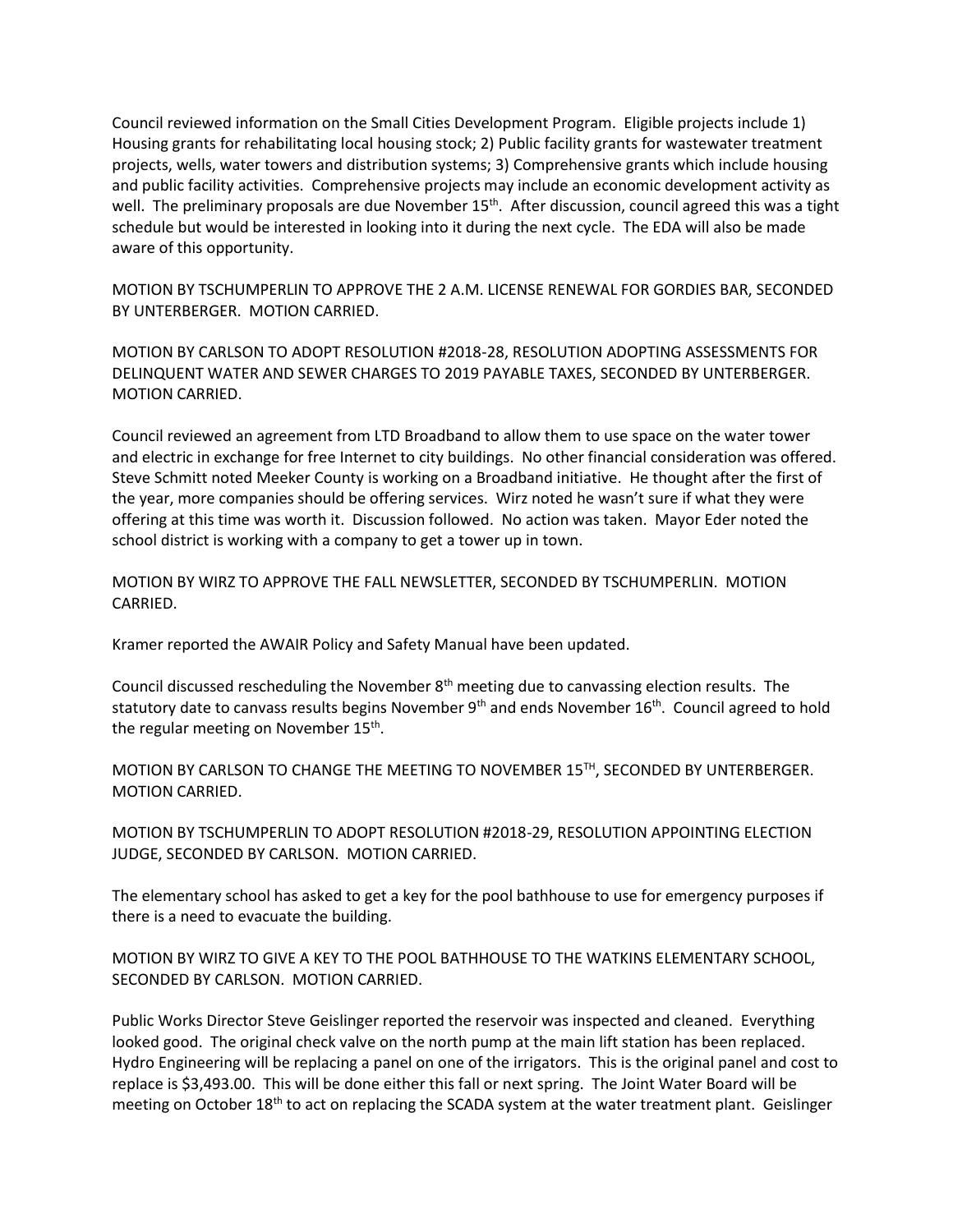Council reviewed information on the Small Cities Development Program. Eligible projects include 1) Housing grants for rehabilitating local housing stock; 2) Public facility grants for wastewater treatment projects, wells, water towers and distribution systems; 3) Comprehensive grants which include housing and public facility activities. Comprehensive projects may include an economic development activity as well. The preliminary proposals are due November 15<sup>th</sup>. After discussion, council agreed this was a tight schedule but would be interested in looking into it during the next cycle. The EDA will also be made aware of this opportunity.

MOTION BY TSCHUMPERLIN TO APPROVE THE 2 A.M. LICENSE RENEWAL FOR GORDIES BAR, SECONDED BY UNTERBERGER. MOTION CARRIED.

MOTION BY CARLSON TO ADOPT RESOLUTION #2018-28, RESOLUTION ADOPTING ASSESSMENTS FOR DELINQUENT WATER AND SEWER CHARGES TO 2019 PAYABLE TAXES, SECONDED BY UNTERBERGER. MOTION CARRIED.

Council reviewed an agreement from LTD Broadband to allow them to use space on the water tower and electric in exchange for free Internet to city buildings. No other financial consideration was offered. Steve Schmitt noted Meeker County is working on a Broadband initiative. He thought after the first of the year, more companies should be offering services. Wirz noted he wasn't sure if what they were offering at this time was worth it. Discussion followed. No action was taken. Mayor Eder noted the school district is working with a company to get a tower up in town.

MOTION BY WIRZ TO APPROVE THE FALL NEWSLETTER, SECONDED BY TSCHUMPERLIN. MOTION CARRIED.

Kramer reported the AWAIR Policy and Safety Manual have been updated.

Council discussed rescheduling the November  $8<sup>th</sup>$  meeting due to canvassing election results. The statutory date to canvass results begins November  $9<sup>th</sup>$  and ends November  $16<sup>th</sup>$ . Council agreed to hold the regular meeting on November 15<sup>th</sup>.

MOTION BY CARLSON TO CHANGE THE MEETING TO NOVEMBER 15TH, SECONDED BY UNTERBERGER. MOTION CARRIED.

MOTION BY TSCHUMPERLIN TO ADOPT RESOLUTION #2018-29, RESOLUTION APPOINTING ELECTION JUDGE, SECONDED BY CARLSON. MOTION CARRIED.

The elementary school has asked to get a key for the pool bathhouse to use for emergency purposes if there is a need to evacuate the building.

MOTION BY WIRZ TO GIVE A KEY TO THE POOL BATHHOUSE TO THE WATKINS ELEMENTARY SCHOOL, SECONDED BY CARLSON. MOTION CARRIED.

Public Works Director Steve Geislinger reported the reservoir was inspected and cleaned. Everything looked good. The original check valve on the north pump at the main lift station has been replaced. Hydro Engineering will be replacing a panel on one of the irrigators. This is the original panel and cost to replace is \$3,493.00. This will be done either this fall or next spring. The Joint Water Board will be meeting on October  $18<sup>th</sup>$  to act on replacing the SCADA system at the water treatment plant. Geislinger